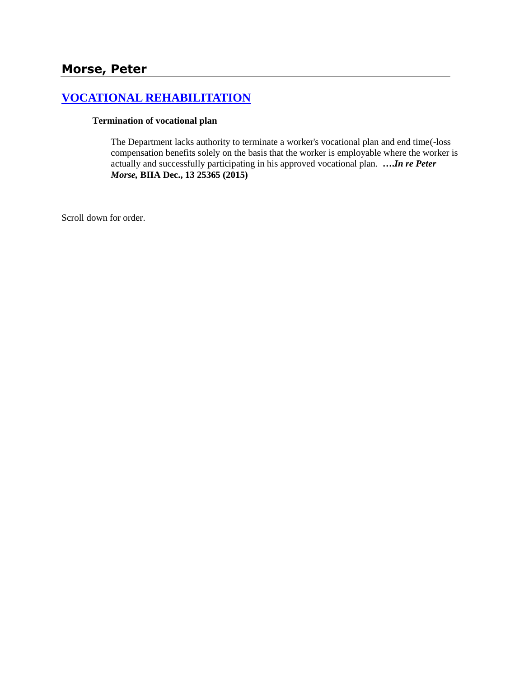# **[VOCATIONAL REHABILITATION](http://www.biia.wa.gov/SDSubjectIndex.html#VOCATIONAL_REHABILITATION)**

#### **Termination of vocational plan**

The Department lacks authority to terminate a worker's vocational plan and end time(-loss compensation benefits solely on the basis that the worker is employable where the worker is actually and successfully participating in his approved vocational plan. **….***In re Peter Morse,* **BIIA Dec., 13 25365 (2015)**

Scroll down for order.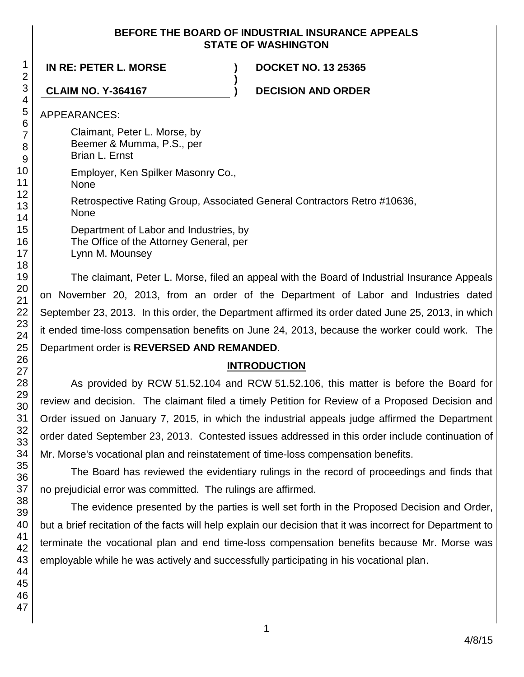### **BEFORE THE BOARD OF INDUSTRIAL INSURANCE APPEALS STATE OF WASHINGTON**

**IN RE: PETER L. MORSE ) DOCKET NO. 13 25365**

**CLAIM NO. Y-364167 ) DECISION AND ORDER**

APPEARANCES:

Claimant, Peter L. Morse, by Beemer & Mumma, P.S., per

Brian L. Ernst

Employer, Ken Spilker Masonry Co.,

None

Retrospective Rating Group, Associated General Contractors Retro #10636, None

**)**

Department of Labor and Industries, by The Office of the Attorney General, per Lynn M. Mounsey

The claimant, Peter L. Morse, filed an appeal with the Board of Industrial Insurance Appeals on November 20, 2013, from an order of the Department of Labor and Industries dated September 23, 2013. In this order, the Department affirmed its order dated June 25, 2013, in which it ended time-loss compensation benefits on June 24, 2013, because the worker could work. The Department order is **REVERSED AND REMANDED**.

# **INTRODUCTION**

As provided by RCW 51.52.104 and RCW 51.52.106, this matter is before the Board for review and decision. The claimant filed a timely Petition for Review of a Proposed Decision and Order issued on January 7, 2015, in which the industrial appeals judge affirmed the Department order dated September 23, 2013. Contested issues addressed in this order include continuation of Mr. Morse's vocational plan and reinstatement of time-loss compensation benefits.

The Board has reviewed the evidentiary rulings in the record of proceedings and finds that no prejudicial error was committed. The rulings are affirmed.

The evidence presented by the parties is well set forth in the Proposed Decision and Order, but a brief recitation of the facts will help explain our decision that it was incorrect for Department to terminate the vocational plan and end time-loss compensation benefits because Mr. Morse was employable while he was actively and successfully participating in his vocational plan.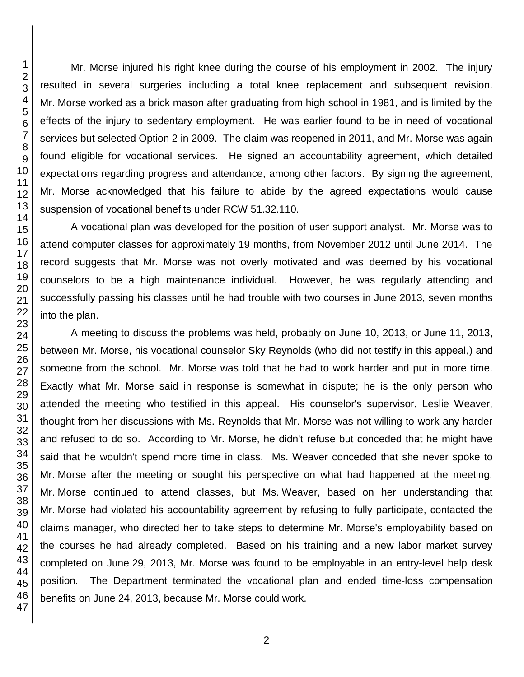Mr. Morse injured his right knee during the course of his employment in 2002. The injury resulted in several surgeries including a total knee replacement and subsequent revision. Mr. Morse worked as a brick mason after graduating from high school in 1981, and is limited by the effects of the injury to sedentary employment. He was earlier found to be in need of vocational services but selected Option 2 in 2009. The claim was reopened in 2011, and Mr. Morse was again found eligible for vocational services. He signed an accountability agreement, which detailed expectations regarding progress and attendance, among other factors. By signing the agreement, Mr. Morse acknowledged that his failure to abide by the agreed expectations would cause suspension of vocational benefits under RCW 51.32.110.

A vocational plan was developed for the position of user support analyst. Mr. Morse was to attend computer classes for approximately 19 months, from November 2012 until June 2014. The record suggests that Mr. Morse was not overly motivated and was deemed by his vocational counselors to be a high maintenance individual. However, he was regularly attending and successfully passing his classes until he had trouble with two courses in June 2013, seven months into the plan.

A meeting to discuss the problems was held, probably on June 10, 2013, or June 11, 2013, between Mr. Morse, his vocational counselor Sky Reynolds (who did not testify in this appeal,) and someone from the school. Mr. Morse was told that he had to work harder and put in more time. Exactly what Mr. Morse said in response is somewhat in dispute; he is the only person who attended the meeting who testified in this appeal. His counselor's supervisor, Leslie Weaver, thought from her discussions with Ms. Reynolds that Mr. Morse was not willing to work any harder and refused to do so. According to Mr. Morse, he didn't refuse but conceded that he might have said that he wouldn't spend more time in class. Ms. Weaver conceded that she never spoke to Mr. Morse after the meeting or sought his perspective on what had happened at the meeting. Mr. Morse continued to attend classes, but Ms. Weaver, based on her understanding that Mr. Morse had violated his accountability agreement by refusing to fully participate, contacted the claims manager, who directed her to take steps to determine Mr. Morse's employability based on the courses he had already completed. Based on his training and a new labor market survey completed on June 29, 2013, Mr. Morse was found to be employable in an entry-level help desk position. The Department terminated the vocational plan and ended time-loss compensation benefits on June 24, 2013, because Mr. Morse could work.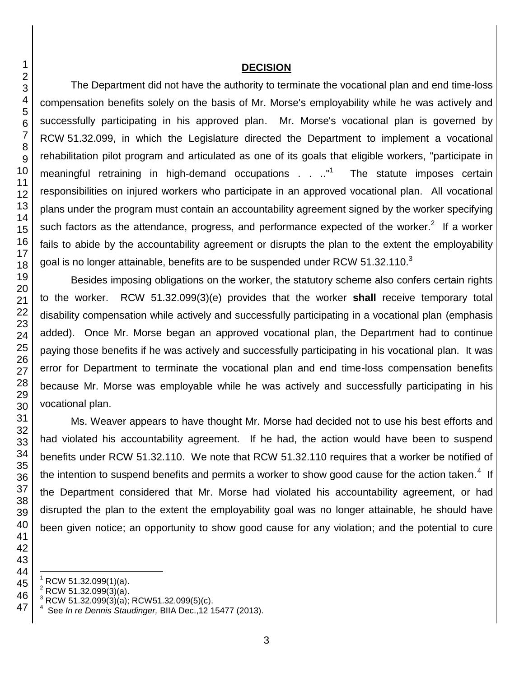#### **DECISION**

The Department did not have the authority to terminate the vocational plan and end time-loss compensation benefits solely on the basis of Mr. Morse's employability while he was actively and successfully participating in his approved plan. Mr. Morse's vocational plan is governed by RCW 51.32.099, in which the Legislature directed the Department to implement a vocational rehabilitation pilot program and articulated as one of its goals that eligible workers, "participate in meaningful retraining in high-demand occupations . . .."<sup>1</sup> The statute imposes certain responsibilities on injured workers who participate in an approved vocational plan. All vocational plans under the program must contain an accountability agreement signed by the worker specifying such factors as the attendance, progress, and performance expected of the worker.<sup>2</sup> If a worker fails to abide by the accountability agreement or disrupts the plan to the extent the employability goal is no longer attainable, benefits are to be suspended under RCW 51.32.110.

Besides imposing obligations on the worker, the statutory scheme also confers certain rights to the worker. RCW 51.32.099(3)(e) provides that the worker **shall** receive temporary total disability compensation while actively and successfully participating in a vocational plan (emphasis added). Once Mr. Morse began an approved vocational plan, the Department had to continue paying those benefits if he was actively and successfully participating in his vocational plan. It was error for Department to terminate the vocational plan and end time-loss compensation benefits because Mr. Morse was employable while he was actively and successfully participating in his vocational plan.

Ms. Weaver appears to have thought Mr. Morse had decided not to use his best efforts and had violated his accountability agreement. If he had, the action would have been to suspend benefits under RCW 51.32.110. We note that RCW 51.32.110 requires that a worker be notified of the intention to suspend benefits and permits a worker to show good cause for the action taken.<sup>4</sup> If the Department considered that Mr. Morse had violated his accountability agreement, or had disrupted the plan to the extent the employability goal was no longer attainable, he should have been given notice; an opportunity to show good cause for any violation; and the potential to cure

l

RCW 51.32.099(1)(a).

RCW 51.32.099(3)(a).

RCW 51.32.099 $(3)(a)$ ; RCW51.32.099(5)(c).

 See *In re Dennis Staudinger,* BIIA Dec.,12 15477 (2013).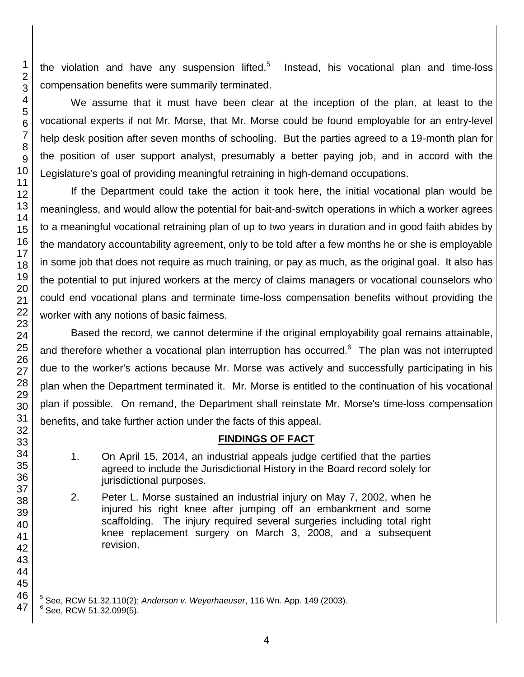the violation and have any suspension lifted.<sup>5</sup> Instead, his vocational plan and time-loss compensation benefits were summarily terminated.

We assume that it must have been clear at the inception of the plan, at least to the vocational experts if not Mr. Morse, that Mr. Morse could be found employable for an entry-level help desk position after seven months of schooling. But the parties agreed to a 19-month plan for the position of user support analyst, presumably a better paying job, and in accord with the Legislature's goal of providing meaningful retraining in high-demand occupations.

If the Department could take the action it took here, the initial vocational plan would be meaningless, and would allow the potential for bait-and-switch operations in which a worker agrees to a meaningful vocational retraining plan of up to two years in duration and in good faith abides by the mandatory accountability agreement, only to be told after a few months he or she is employable in some job that does not require as much training, or pay as much, as the original goal. It also has the potential to put injured workers at the mercy of claims managers or vocational counselors who could end vocational plans and terminate time-loss compensation benefits without providing the worker with any notions of basic fairness.

Based the record, we cannot determine if the original employability goal remains attainable, and therefore whether a vocational plan interruption has occurred.<sup>6</sup> The plan was not interrupted due to the worker's actions because Mr. Morse was actively and successfully participating in his plan when the Department terminated it. Mr. Morse is entitled to the continuation of his vocational plan if possible. On remand, the Department shall reinstate Mr. Morse's time-loss compensation benefits, and take further action under the facts of this appeal.

# **FINDINGS OF FACT**

- 1. On April 15, 2014, an industrial appeals judge certified that the parties agreed to include the Jurisdictional History in the Board record solely for jurisdictional purposes.
- 2. Peter L. Morse sustained an industrial injury on May 7, 2002, when he injured his right knee after jumping off an embankment and some scaffolding. The injury required several surgeries including total right knee replacement surgery on March 3, 2008, and a subsequent revision.

l See, RCW 51.32.110(2); *Anderson v. Weyerhaeuser*, 116 Wn. App. 149 (2003).

See, RCW 51.32.099(5).